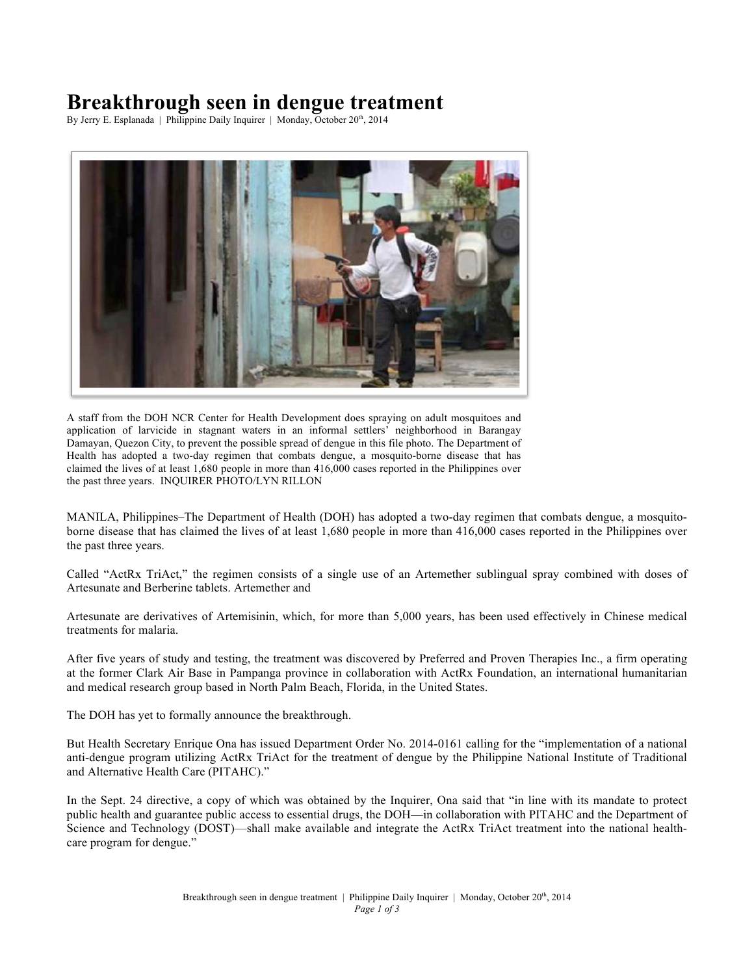# **Breakthrough seen in dengue treatment**

By Jerry E. Esplanada | Philippine Daily Inquirer | Monday, October 20<sup>th</sup>, 2014



A staff from the DOH NCR Center for Health Development does spraying on adult mosquitoes and application of larvicide in stagnant waters in an informal settlers' neighborhood in Barangay Damayan, Quezon City, to prevent the possible spread of dengue in this file photo. The Department of Health has adopted a two-day regimen that combats dengue, a mosquito-borne disease that has claimed the lives of at least 1,680 people in more than 416,000 cases reported in the Philippines over the past three years. INQUIRER PHOTO/LYN RILLON

MANILA, Philippines–The Department of Health (DOH) has adopted a two-day regimen that combats dengue, a mosquitoborne disease that has claimed the lives of at least 1,680 people in more than 416,000 cases reported in the Philippines over the past three years.

Called "ActRx TriAct," the regimen consists of a single use of an Artemether sublingual spray combined with doses of Artesunate and Berberine tablets. Artemether and

Artesunate are derivatives of Artemisinin, which, for more than 5,000 years, has been used effectively in Chinese medical treatments for malaria.

After five years of study and testing, the treatment was discovered by Preferred and Proven Therapies Inc., a firm operating at the former Clark Air Base in Pampanga province in collaboration with ActRx Foundation, an international humanitarian and medical research group based in North Palm Beach, Florida, in the United States.

The DOH has yet to formally announce the breakthrough.

But Health Secretary Enrique Ona has issued Department Order No. 2014-0161 calling for the "implementation of a national anti-dengue program utilizing ActRx TriAct for the treatment of dengue by the Philippine National Institute of Traditional and Alternative Health Care (PITAHC)."

In the Sept. 24 directive, a copy of which was obtained by the Inquirer, Ona said that "in line with its mandate to protect public health and guarantee public access to essential drugs, the DOH—in collaboration with PITAHC and the Department of Science and Technology (DOST)—shall make available and integrate the ActRx TriAct treatment into the national healthcare program for dengue."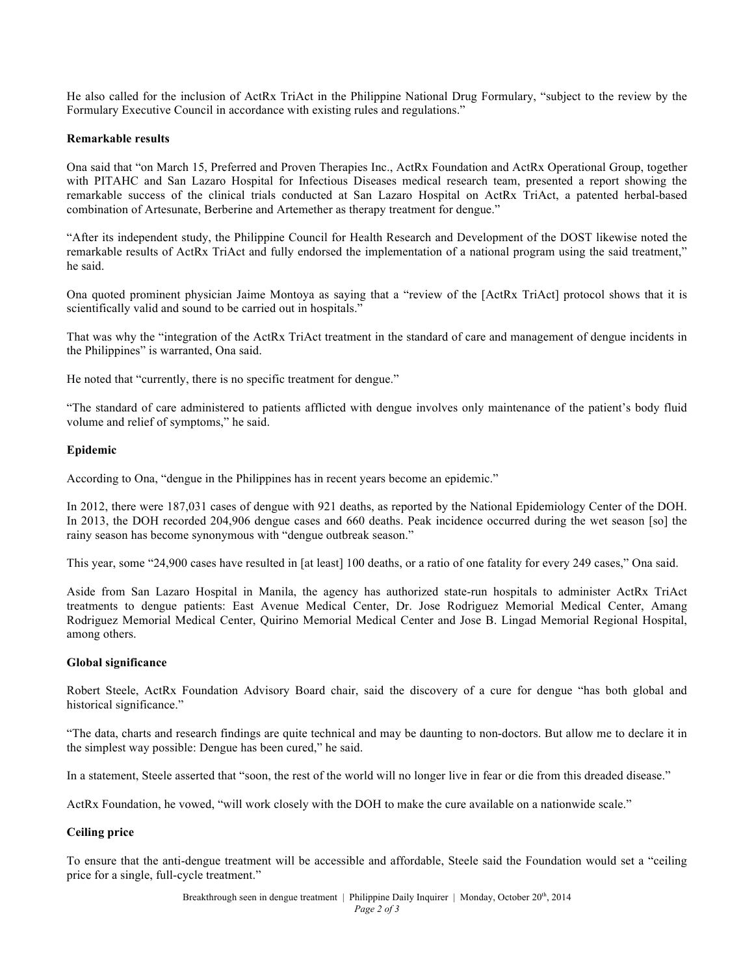He also called for the inclusion of ActRx TriAct in the Philippine National Drug Formulary, "subject to the review by the Formulary Executive Council in accordance with existing rules and regulations."

### **Remarkable results**

Ona said that "on March 15, Preferred and Proven Therapies Inc., ActRx Foundation and ActRx Operational Group, together with PITAHC and San Lazaro Hospital for Infectious Diseases medical research team, presented a report showing the remarkable success of the clinical trials conducted at San Lazaro Hospital on ActRx TriAct, a patented herbal-based combination of Artesunate, Berberine and Artemether as therapy treatment for dengue."

"After its independent study, the Philippine Council for Health Research and Development of the DOST likewise noted the remarkable results of ActRx TriAct and fully endorsed the implementation of a national program using the said treatment," he said.

Ona quoted prominent physician Jaime Montoya as saying that a "review of the [ActRx TriAct] protocol shows that it is scientifically valid and sound to be carried out in hospitals."

That was why the "integration of the ActRx TriAct treatment in the standard of care and management of dengue incidents in the Philippines" is warranted, Ona said.

He noted that "currently, there is no specific treatment for dengue."

"The standard of care administered to patients afflicted with dengue involves only maintenance of the patient's body fluid volume and relief of symptoms," he said.

#### **Epidemic**

According to Ona, "dengue in the Philippines has in recent years become an epidemic."

In 2012, there were 187,031 cases of dengue with 921 deaths, as reported by the National Epidemiology Center of the DOH. In 2013, the DOH recorded 204,906 dengue cases and 660 deaths. Peak incidence occurred during the wet season [so] the rainy season has become synonymous with "dengue outbreak season."

This year, some "24,900 cases have resulted in [at least] 100 deaths, or a ratio of one fatality for every 249 cases," Ona said.

Aside from San Lazaro Hospital in Manila, the agency has authorized state-run hospitals to administer ActRx TriAct treatments to dengue patients: East Avenue Medical Center, Dr. Jose Rodriguez Memorial Medical Center, Amang Rodriguez Memorial Medical Center, Quirino Memorial Medical Center and Jose B. Lingad Memorial Regional Hospital, among others.

#### **Global significance**

Robert Steele, ActRx Foundation Advisory Board chair, said the discovery of a cure for dengue "has both global and historical significance."

"The data, charts and research findings are quite technical and may be daunting to non-doctors. But allow me to declare it in the simplest way possible: Dengue has been cured," he said.

In a statement, Steele asserted that "soon, the rest of the world will no longer live in fear or die from this dreaded disease."

ActRx Foundation, he vowed, "will work closely with the DOH to make the cure available on a nationwide scale."

## **Ceiling price**

To ensure that the anti-dengue treatment will be accessible and affordable, Steele said the Foundation would set a "ceiling price for a single, full-cycle treatment."